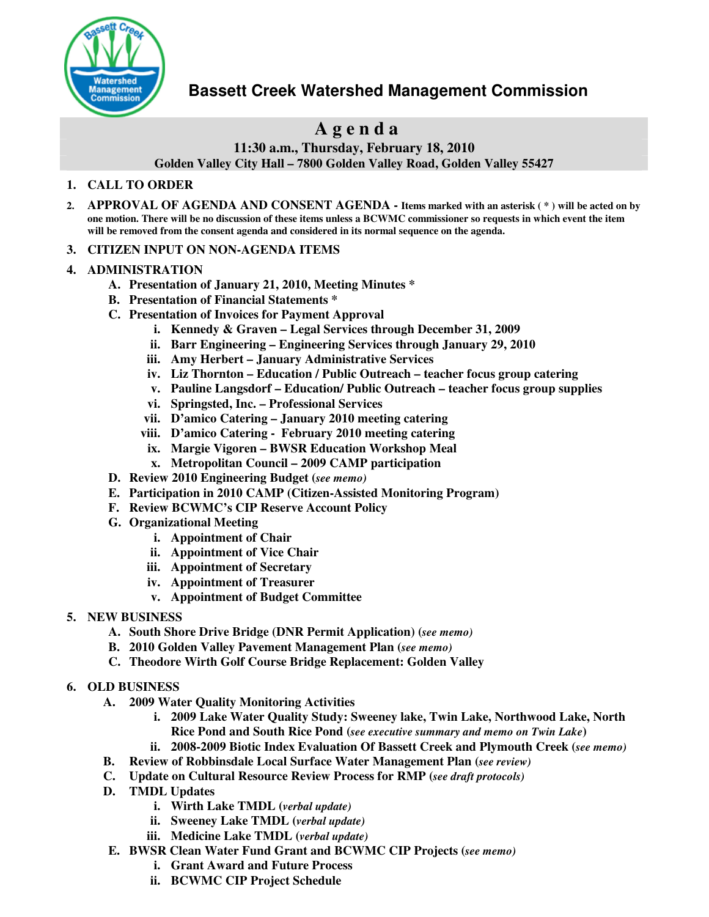

# **Bassett Creek Watershed Management Commission**

# **A g e n d a**

**11:30 a.m., Thursday, February 18, 2010**

**Golden Valley City Hall – 7800 Golden Valley Road, Golden Valley 55427**

## **1. CALL TO ORDER**

2. APPROVAL OF AGENDA AND CONSENT AGENDA - Items marked with an asterisk (\*) will be acted on by one motion. There will be no discussion of these items unless a BCWMC commissioner so requests in which event the item **will be removed from the consent agenda and considered in its normal sequence on the agenda.**

## **3. CITIZEN INPUT ON NON-AGENDA ITEMS**

## **4. ADMINISTRATION**

- **A. Presentation of January 21, 2010, Meeting Minutes \***
- **B. Presentation of Financial Statements \***
- **C. Presentation of Invoices for Payment Approval**
	- **i. Kennedy & Graven – Legal Services through December 31, 2009**
	- **ii. Barr Engineering – Engineering Services through January 29, 2010**
	- **iii. Amy Herbert – January Administrative Services**
	- **iv. Liz Thornton – Education / Public Outreach – teacher focus group catering**
	- **v. Pauline Langsdorf – Education/ Public Outreach – teacher focus group supplies**
	- **vi. Springsted, Inc. – Professional Services**
	- **vii. D'amico Catering – January 2010 meeting catering**
	- **viii. D'amico Catering - February 2010 meeting catering**
	- **ix. Margie Vigoren – BWSR Education Workshop Meal**
	- **x. Metropolitan Council – 2009 CAMP participation**
- **D. Review 2010 Engineering Budget (***see memo)*
- **E. Participation in 2010 CAMP (Citizen-Assisted Monitoring Program)**
- **F. Review BCWMC's CIP Reserve Account Policy**
- **G. Organizational Meeting**
	- **i. Appointment of Chair**
	- **ii. Appointment of Vice Chair**
	- **iii. Appointment of Secretary**
	- **iv. Appointment of Treasurer**
	- **v. Appointment of Budget Committee**
- **5. NEW BUSINESS**
	- **A. South Shore Drive Bridge (DNR Permit Application) (***see memo)*
	- **B. 2010 Golden Valley Pavement Management Plan (***see memo)*
	- **C. Theodore Wirth Golf Course Bridge Replacement: Golden Valley**
- **6. OLD BUSINESS**
	- **A. 2009 Water Quality Monitoring Activities**
		- **i. 2009 Lake Water Quality Study: Sweeney lake, Twin Lake, Northwood Lake, North Rice Pond and South Rice Pond (***see executive summary and memo on Twin Lake***)**
		- **ii. 2008-2009 Biotic Index Evaluation Of Bassett Creek and Plymouth Creek (***see memo)*
	- **B. Review of Robbinsdale Local Surface Water Management Plan (***see review)*
	- **C. Update on Cultural Resource Review Process for RMP (***see draft protocols)*
	- **D. TMDL Updates**
		- **i. Wirth Lake TMDL (***verbal update)*
		- **ii. Sweeney Lake TMDL (***verbal update)*
		- **iii. Medicine Lake TMDL (***verbal update)*
	- **E. BWSR Clean Water Fund Grant and BCWMC CIP Projects (***see memo)*
		- **i. Grant Award and Future Process**
		- **ii. BCWMC CIP Project Schedule**